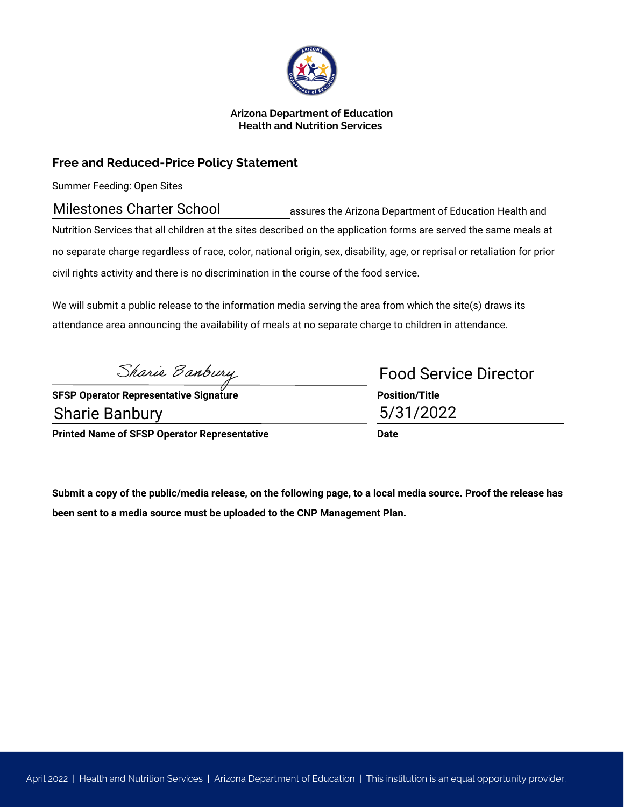

### **Arizona Department of Education Health and Nutrition Services**

# **Free and Reduced-Price Policy Statement**

Summer Feeding: Open Sites

assures the Arizona Department of Education Health and Nutrition Services that all children at the sites described on the application forms are served the same meals at no separate charge regardless of race, color, national origin, sex, disability, age, or reprisal or retaliation for prior civil rights activity and there is no discrimination in the course of the food service. Milestones Charter School assures the Arizona Department of End<br>
Nutrition Services that all children at the sites described on the application forms are serve<br>
no separate charge regardless of race, color, national origin

We will submit a public release to the information media serving the area from which the site(s) draws its attendance area announcing the availability of meals at no separate charge to children in attendance.

**SFSP Operator Representative Signature Position/Title**

**Printed Name of SFSP Operator Representative** 

| <b>Food Service Director</b> |  |
|------------------------------|--|
| <b>Position/Title</b>        |  |
| 5/31/2022                    |  |
| Date                         |  |

**Submit a copy of the public/media release, on the following page, to a local media source. Proof the release has been sent to a media source must be uploaded to the CNP Management Plan.**